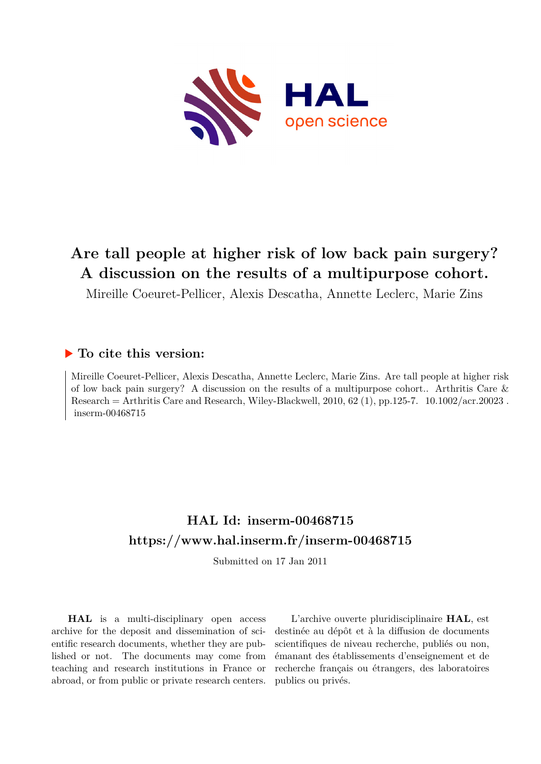

# **Are tall people at higher risk of low back pain surgery? A discussion on the results of a multipurpose cohort.**

Mireille Coeuret-Pellicer, Alexis Descatha, Annette Leclerc, Marie Zins

# **To cite this version:**

Mireille Coeuret-Pellicer, Alexis Descatha, Annette Leclerc, Marie Zins. Are tall people at higher risk of low back pain surgery? A discussion on the results of a multipurpose cohort.. Arthritis Care & Research = Arthritis Care and Research, Wiley-Blackwell, 2010, 62 (1), pp.125-7.  $10.1002/acr.20023$ .  $inserm-00468715$ 

# **HAL Id: inserm-00468715 <https://www.hal.inserm.fr/inserm-00468715>**

Submitted on 17 Jan 2011

**HAL** is a multi-disciplinary open access archive for the deposit and dissemination of scientific research documents, whether they are published or not. The documents may come from teaching and research institutions in France or abroad, or from public or private research centers.

L'archive ouverte pluridisciplinaire **HAL**, est destinée au dépôt et à la diffusion de documents scientifiques de niveau recherche, publiés ou non, émanant des établissements d'enseignement et de recherche français ou étrangers, des laboratoires publics ou privés.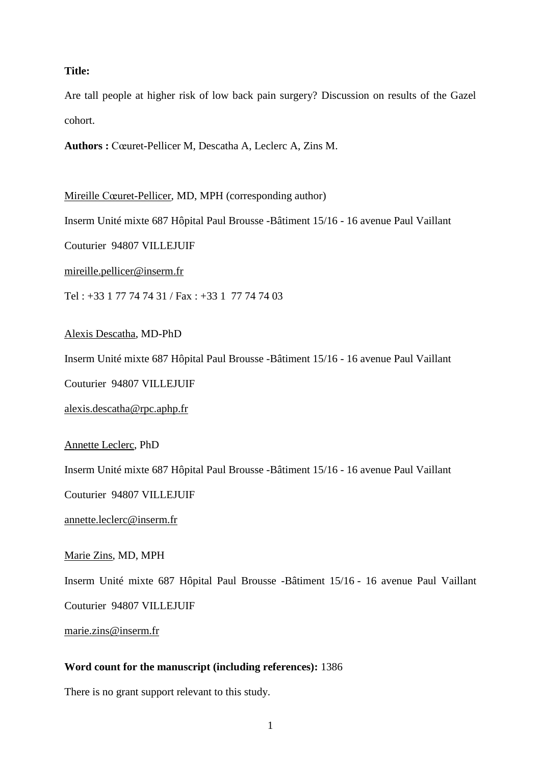## **Title:**

Are tall people at higher risk of low back pain surgery? Discussion on results of the Gazel cohort.

**Authors :** Cœuret-Pellicer M, Descatha A, Leclerc A, Zins M.

Mireille Cœuret-Pellicer, MD, MPH (corresponding author)

Inserm Unité mixte 687 Hôpital Paul Brousse -Bâtiment 15/16 - 16 avenue Paul Vaillant

Couturier 94807 VILLEJUIF

[mireille.pellicer@inserm.fr](mailto:mireille.pellicer@inserm.fr)

Tel : +33 1 77 74 74 31 / Fax : +33 1 77 74 74 03

Alexis Descatha, MD-PhD

Inserm Unité mixte 687 Hôpital Paul Brousse -Bâtiment 15/16 - 16 avenue Paul Vaillant

Couturier 94807 VILLEJUIF

[alexis.descatha@rpc.aphp.fr](mailto:alexis.descatha@rpc.aphp.fr)

Annette Leclerc, PhD

Inserm Unité mixte 687 Hôpital Paul Brousse -Bâtiment 15/16 - 16 avenue Paul Vaillant

Couturier 94807 VILLEJUIF

[annette.leclerc@inserm.fr](mailto:annette.leclerc@inserm.fr)

Marie Zins, MD, MPH

Inserm Unité mixte 687 Hôpital Paul Brousse -Bâtiment 15/16 - 16 avenue Paul Vaillant

Couturier 94807 VILLEJUIF

[marie.zins@inserm.fr](mailto:marie.zins@inserm.fr)

## **Word count for the manuscript (including references):** 1386

There is no grant support relevant to this study.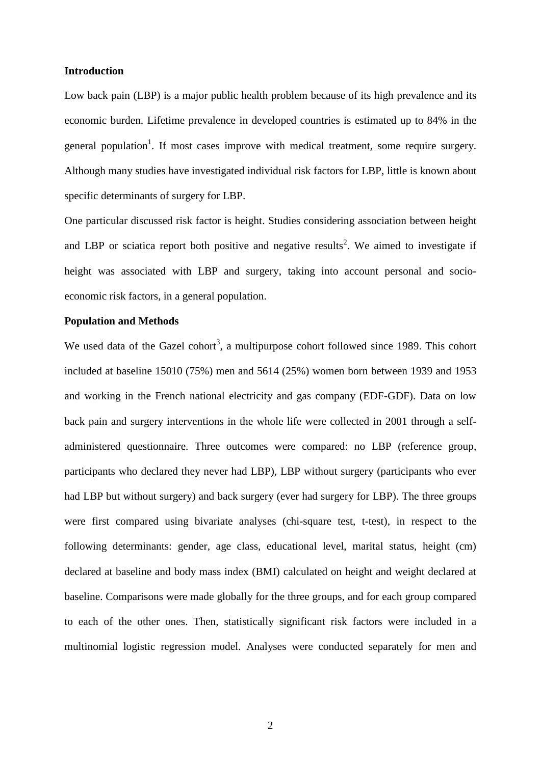#### **Introduction**

Low back pain (LBP) is a major public health problem because of its high prevalence and its economic burden. Lifetime prevalence in developed countries is estimated up to 84% in the general population<sup>1</sup>. If most cases improve with medical treatment, some require surgery. Although many studies have investigated individual risk factors for LBP, little is known about specific determinants of surgery for LBP.

One particular discussed risk factor is height. Studies considering association between height and LBP or sciatica report both positive and negative results<sup>2</sup>. We aimed to investigate if height was associated with LBP and surgery, taking into account personal and socioeconomic risk factors, in a general population.

#### **Population and Methods**

We used data of the Gazel cohort<sup>3</sup>, a multipurpose cohort followed since 1989. This cohort included at baseline 15010 (75%) men and 5614 (25%) women born between 1939 and 1953 and working in the French national electricity and gas company (EDF-GDF). Data on low back pain and surgery interventions in the whole life were collected in 2001 through a selfadministered questionnaire. Three outcomes were compared: no LBP (reference group, participants who declared they never had LBP), LBP without surgery (participants who ever had LBP but without surgery) and back surgery (ever had surgery for LBP). The three groups were first compared using bivariate analyses (chi-square test, t-test), in respect to the following determinants: gender, age class, educational level, marital status, height (cm) declared at baseline and body mass index (BMI) calculated on height and weight declared at baseline. Comparisons were made globally for the three groups, and for each group compared to each of the other ones. Then, statistically significant risk factors were included in a multinomial logistic regression model. Analyses were conducted separately for men and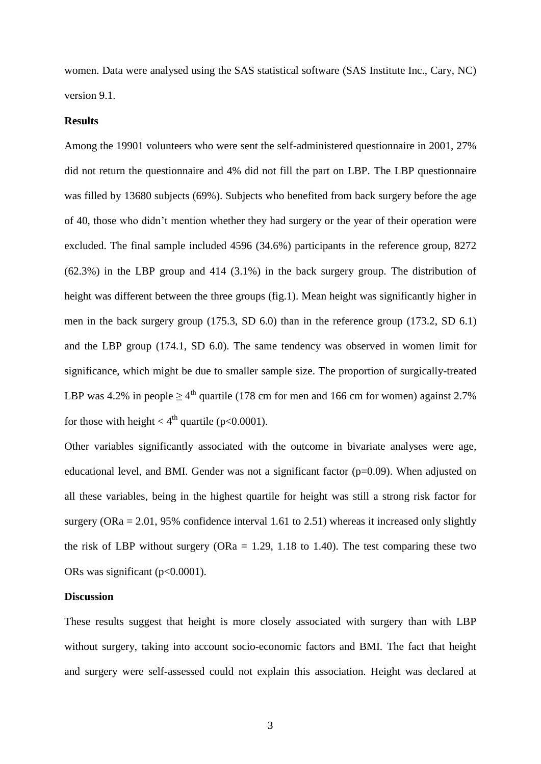women. Data were analysed using the SAS statistical software (SAS Institute Inc., Cary, NC) version 9.1.

### **Results**

Among the 19901 volunteers who were sent the self-administered questionnaire in 2001, 27% did not return the questionnaire and 4% did not fill the part on LBP. The LBP questionnaire was filled by 13680 subjects (69%). Subjects who benefited from back surgery before the age of 40, those who didn't mention whether they had surgery or the year of their operation were excluded. The final sample included 4596 (34.6%) participants in the reference group, 8272 (62.3%) in the LBP group and 414 (3.1%) in the back surgery group. The distribution of height was different between the three groups (fig.1). Mean height was significantly higher in men in the back surgery group (175.3, SD 6.0) than in the reference group (173.2, SD 6.1) and the LBP group (174.1, SD 6.0). The same tendency was observed in women limit for significance, which might be due to smaller sample size. The proportion of surgically-treated LBP was 4.2% in people  $\geq 4^{\text{th}}$  quartile (178 cm for men and 166 cm for women) against 2.7% for those with height  $< 4^{\text{th}}$  quartile (p<0.0001).

Other variables significantly associated with the outcome in bivariate analyses were age, educational level, and BMI. Gender was not a significant factor  $(p=0.09)$ . When adjusted on all these variables, being in the highest quartile for height was still a strong risk factor for surgery (ORa  $= 2.01$ , 95% confidence interval 1.61 to 2.51) whereas it increased only slightly the risk of LBP without surgery ( $ORa = 1.29$ , 1.18 to 1.40). The test comparing these two ORs was significant (p<0.0001).

#### **Discussion**

These results suggest that height is more closely associated with surgery than with LBP without surgery, taking into account socio-economic factors and BMI. The fact that height and surgery were self-assessed could not explain this association. Height was declared at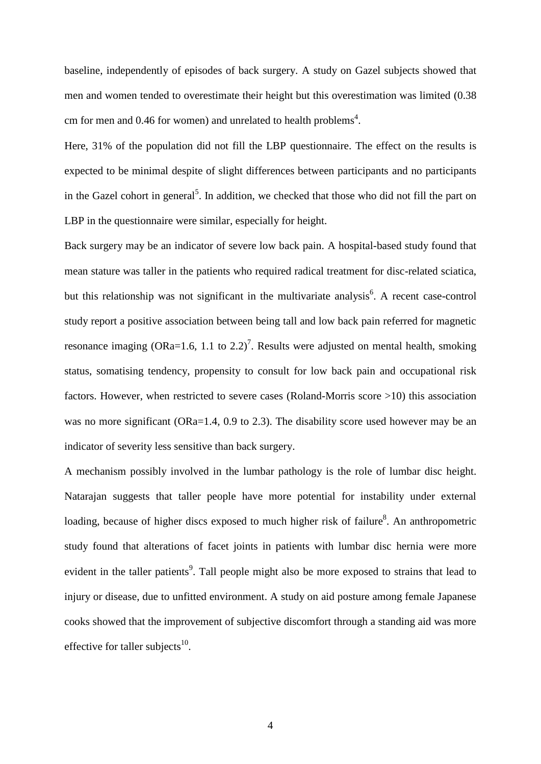baseline, independently of episodes of back surgery. A study on Gazel subjects showed that men and women tended to overestimate their height but this overestimation was limited (0.38 cm for men and 0.46 for women) and unrelated to health problems<sup>4</sup>.

Here, 31% of the population did not fill the LBP questionnaire. The effect on the results is expected to be minimal despite of slight differences between participants and no participants in the Gazel cohort in general<sup>5</sup>. In addition, we checked that those who did not fill the part on LBP in the questionnaire were similar, especially for height.

Back surgery may be an indicator of severe low back pain. A hospital-based study found that mean stature was taller in the patients who required radical treatment for disc-related sciatica, but this relationship was not significant in the multivariate analysis<sup>6</sup>. A recent case-control study report a positive association between being tall and low back pain referred for magnetic resonance imaging (ORa=1.6, 1.1 to 2.2)<sup>7</sup>. Results were adjusted on mental health, smoking status, somatising tendency, propensity to consult for low back pain and occupational risk factors. However, when restricted to severe cases (Roland-Morris score >10) this association was no more significant (ORa=1.4, 0.9 to 2.3). The disability score used however may be an indicator of severity less sensitive than back surgery.

A mechanism possibly involved in the lumbar pathology is the role of lumbar disc height. Natarajan suggests that taller people have more potential for instability under external loading, because of higher discs exposed to much higher risk of failure<sup>8</sup>. An anthropometric study found that alterations of facet joints in patients with lumbar disc hernia were more evident in the taller patients<sup>9</sup>. Tall people might also be more exposed to strains that lead to injury or disease, due to unfitted environment. A study on aid posture among female Japanese cooks showed that the improvement of subjective discomfort through a standing aid was more effective for taller subjects $^{10}$ .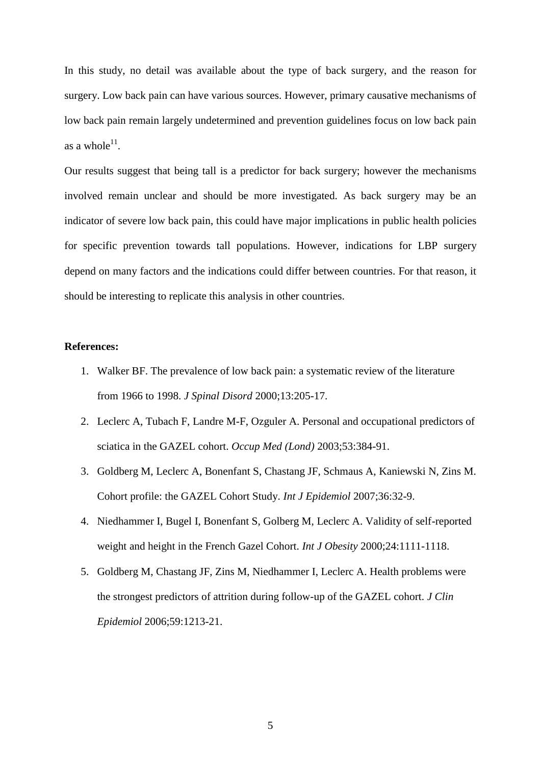In this study, no detail was available about the type of back surgery, and the reason for surgery. Low back pain can have various sources. However, primary causative mechanisms of low back pain remain largely undetermined and prevention guidelines focus on low back pain as a whole $^{11}$ .

Our results suggest that being tall is a predictor for back surgery; however the mechanisms involved remain unclear and should be more investigated. As back surgery may be an indicator of severe low back pain, this could have major implications in public health policies for specific prevention towards tall populations. However, indications for LBP surgery depend on many factors and the indications could differ between countries. For that reason, it should be interesting to replicate this analysis in other countries.

#### **References:**

- 1. Walker BF. The prevalence of low back pain: a systematic review of the literature from 1966 to 1998. *[J Spinal Disord](javascript:AL_get(this,%20)* 2000;13:205-17.
- 2. Leclerc A, Tubach F, Landre M-F, Ozguler A. Personal and occupational predictors of sciatica in the GAZEL cohort. *[Occup Med \(Lond\)](javascript:AL_get(this,%20)* 2003;53:384-91.
- 3. Goldberg M, Leclerc A, Bonenfant S, Chastang JF, Schmaus A, Kaniewski N, Zins M. Cohort profile: the GAZEL Cohort Study. *Int J Epidemiol* 2007;36:32-9.
- 4. Niedhammer I, Bugel I, Bonenfant S, Golberg M, Leclerc A. Validity of self-reported weight and height in the French Gazel Cohort. *Int J Obesity* 2000;24:1111-1118.
- 5. Goldberg M, Chastang JF, Zins M, Niedhammer I, Leclerc A. Health problems were the strongest predictors of attrition during follow-up of the GAZEL cohort. *J Clin Epidemiol* 2006;59:1213-21.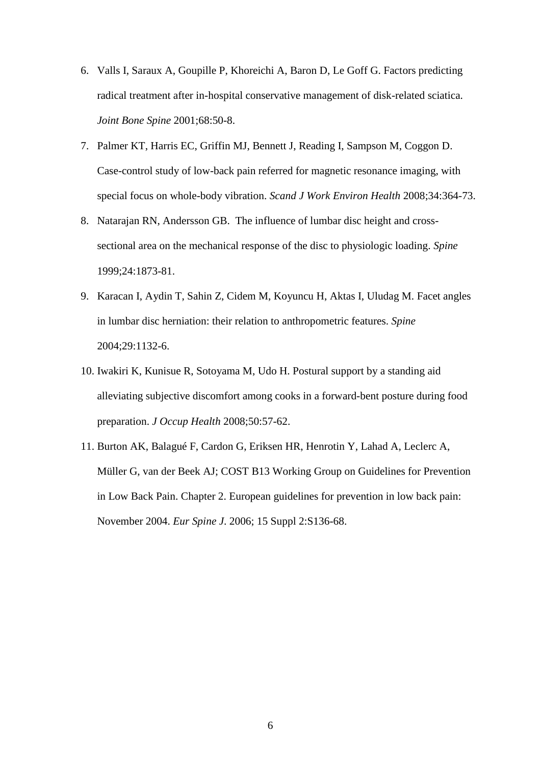- 6. Valls I, Saraux A, Goupille P, Khoreichi A, Baron D, Le Goff G. Factors predicting radical treatment after in-hospital conservative management of disk-related sciatica. *Joint Bone Spine* 2001;68:50-8.
- 7. Palmer KT, Harris EC, Griffin MJ, Bennett J, Reading I, Sampson M, Coggon D. Case-control study of low-back pain referred for magnetic resonance imaging, with special focus on whole-body vibration. *[Scand J Work Environ Health](javascript:AL_get(this,%20)* 2008;34:364-73.
- 8. Natarajan RN, Andersson GB. The influence of lumbar disc height and crosssectional area on the mechanical response of the disc to physiologic loading. *Spine* 1999;24:1873-81.
- 9. Karacan I, Aydin T, Sahin Z, Cidem M, Koyuncu H, Aktas I, Uludag M. Facet angles in lumbar disc herniation: their relation to anthropometric features. *Spine* 2004;29:1132-6.
- 10. [Iwakiri K,](http://www.ncbi.nlm.nih.gov/sites/entrez?Db=pubmed&Cmd=Search&Term=%22Iwakiri%20K%22%5BAuthor%5D&itool=EntrezSystem2.PEntrez.Pubmed.Pubmed_ResultsPanel.Pubmed_DiscoveryPanel.Pubmed_RVAbstractPlus) [Kunisue R,](http://www.ncbi.nlm.nih.gov/sites/entrez?Db=pubmed&Cmd=Search&Term=%22Kunisue%20R%22%5BAuthor%5D&itool=EntrezSystem2.PEntrez.Pubmed.Pubmed_ResultsPanel.Pubmed_DiscoveryPanel.Pubmed_RVAbstractPlus) [Sotoyama M,](http://www.ncbi.nlm.nih.gov/sites/entrez?Db=pubmed&Cmd=Search&Term=%22Sotoyama%20M%22%5BAuthor%5D&itool=EntrezSystem2.PEntrez.Pubmed.Pubmed_ResultsPanel.Pubmed_DiscoveryPanel.Pubmed_RVAbstractPlus) [Udo H.](http://www.ncbi.nlm.nih.gov/sites/entrez?Db=pubmed&Cmd=Search&Term=%22Udo%20H%22%5BAuthor%5D&itool=EntrezSystem2.PEntrez.Pubmed.Pubmed_ResultsPanel.Pubmed_DiscoveryPanel.Pubmed_RVAbstractPlus) Postural support by a standing aid alleviating subjective discomfort among cooks in a forward-bent posture during food preparation. *[J Occup Health](javascript:AL_get(this,%20)* 2008;50:57-62.
- 11. Burton AK, Balagué F, Cardon G, Eriksen HR, Henrotin Y, Lahad A, Leclerc A, Müller G, van der Beek AJ; COST B13 Working Group on Guidelines for Prevention in Low Back Pain. [Chapter 2. European guidelines for prevention in low back pain:](http://www.ncbi.nlm.nih.gov/pubmed/16550446?ordinalpos=3&itool=EntrezSystem2.PEntrez.Pubmed.Pubmed_ResultsPanel.Pubmed_DefaultReportPanel.Pubmed_RVDocSum)  [November 2004.](http://www.ncbi.nlm.nih.gov/pubmed/16550446?ordinalpos=3&itool=EntrezSystem2.PEntrez.Pubmed.Pubmed_ResultsPanel.Pubmed_DefaultReportPanel.Pubmed_RVDocSum) *Eur Spine J*. 2006; 15 Suppl 2:S136-68.